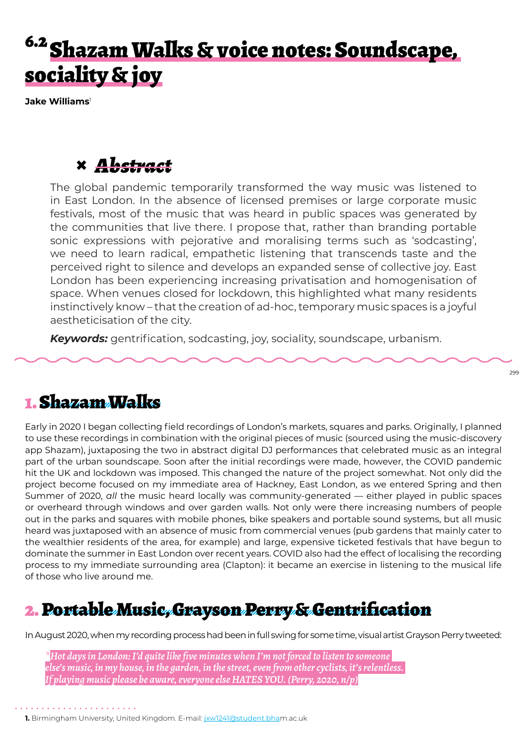# 6.2 Shazam Walks & voice notes: Soundscape, sociality & joy

**Jake Williams**<sup>1</sup>

## **×** *Abstract*

The global pandemic temporarily transformed the way music was listened to in East London. In the absence of licensed premises or large corporate music festivals, most of the music that was heard in public spaces was generated by the communities that live there. I propose that, rather than branding portable sonic expressions with pejorative and moralising terms such as 'sodcasting', we need to learn radical, empathetic listening that transcends taste and the perceived right to silence and develops an expanded sense of collective joy. East London has been experiencing increasing privatisation and homogenisation of space. When venues closed for lockdown, this highlighted what many residents instinctively know – that the creation of ad-hoc, temporary music spaces is a joyful aestheticisation of the city.

*Keywords:* gentrification, sodcasting, joy, sociality, soundscape, urbanism.

### 1. Shazam Walks

Early in 2020 I began collecting field recordings of London's markets, squares and parks. Originally, I planned to use these recordings in combination with the original pieces of music (sourced using the music-discovery app Shazam), juxtaposing the two in abstract digital DJ performances that celebrated music as an integral part of the urban soundscape. Soon after the initial recordings were made, however, the COVID pandemic hit the UK and lockdown was imposed. This changed the nature of the project somewhat. Not only did the project become focused on my immediate area of Hackney, East London, as we entered Spring and then Summer of 2020, *all* the music heard locally was community-generated — either played in public spaces or overheard through windows and over garden walls. Not only were there increasing numbers of people out in the parks and squares with mobile phones, bike speakers and portable sound systems, but all music heard was juxtaposed with an absence of music from commercial venues (pub gardens that mainly cater to the wealthier residents of the area, for example) and large, expensive ticketed festivals that have begun to dominate the summer in East London over recent years. COVID also had the effect of localising the recording process to my immediate surrounding area (Clapton): it became an exercise in listening to the musical life of those who live around me.

## 2. Portable Music, Grayson Perry & Gentrification

In August 2020, when my recording process had been in full swing for some time, visual artist Grayson Perry tweeted:

*\*Hot days in London: I'd quite like five minutes when I'm not forced to listen to someone else's music, in my house, in the garden, in the street, even from other cyclists, it's relentless. If playing music please be aware, everyone else HATES YOU. (Perry, 2020, n/p)*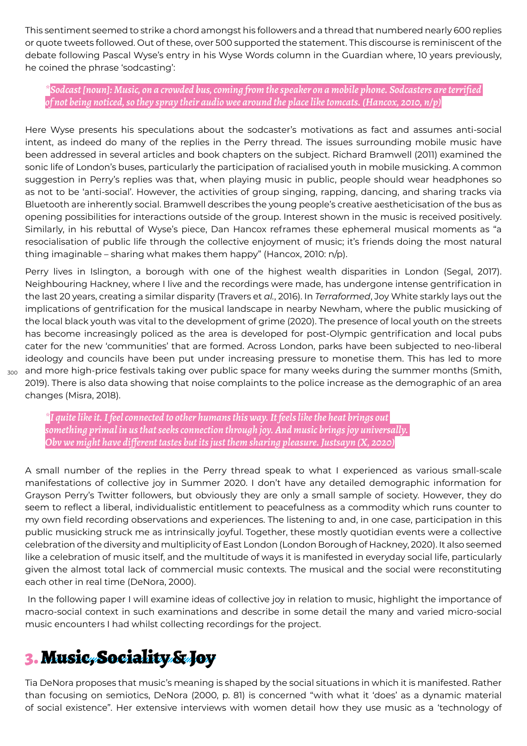This sentiment seemed to strike a chord amongst his followers and a thread that numbered nearly 600 replies or quote tweets followed. Out of these, over 500 supported the statement. This discourse is reminiscent of the debate following Pascal Wyse's entry in his Wyse Words column in the Guardian where, 10 years previously, he coined the phrase 'sodcasting':

*\*Sodcast [noun]: Music, on a crowded bus, coming from the speaker on a mobile phone. Sodcasters are terrified of not being noticed, so they spray their audio wee around the place like tomcats. (Hancox, 2010, n/p)*

Here Wyse presents his speculations about the sodcaster's motivations as fact and assumes anti-social intent, as indeed do many of the replies in the Perry thread. The issues surrounding mobile music have been addressed in several articles and book chapters on the subject. Richard Bramwell (2011) examined the sonic life of London's buses, particularly the participation of racialised youth in mobile musicking. A common suggestion in Perry's replies was that, when playing music in public, people should wear headphones so as not to be 'anti-social'. However, the activities of group singing, rapping, dancing, and sharing tracks via Bluetooth are inherently social. Bramwell describes the young people's creative aestheticisation of the bus as opening possibilities for interactions outside of the group. Interest shown in the music is received positively. Similarly, in his rebuttal of Wyse's piece, Dan Hancox reframes these ephemeral musical moments as "a resocialisation of public life through the collective enjoyment of music; it's friends doing the most natural thing imaginable – sharing what makes them happy" (Hancox, 2010: n/p).

 $_{\rm 300}$  and more high-price festivals taking over public space for many weeks during the summer months (Smith, Perry lives in Islington, a borough with one of the highest wealth disparities in London (Segal, 2017). Neighbouring Hackney, where I live and the recordings were made, has undergone intense gentrification in the last 20 years, creating a similar disparity (Travers et *al.*, 2016). In *Terraformed*, Joy White starkly lays out the implications of gentrification for the musical landscape in nearby Newham, where the public musicking of the local black youth was vital to the development of grime (2020). The presence of local youth on the streets has become increasingly policed as the area is developed for post-Olympic gentrification and local pubs cater for the new 'communities' that are formed. Across London, parks have been subjected to neo-liberal ideology and councils have been put under increasing pressure to monetise them. This has led to more 2019). There is also data showing that noise complaints to the police increase as the demographic of an area changes (Misra, 2018).

*\*I quite like it. I feel connected to other humans this way. It feels like the heat brings out something primal in us that seeks connection through joy. And music brings joy universally. Obv we might have different tastes but its just them sharing pleasure. Justsayn (X, 2020)*

A small number of the replies in the Perry thread speak to what I experienced as various small-scale manifestations of collective joy in Summer 2020. I don't have any detailed demographic information for Grayson Perry's Twitter followers, but obviously they are only a small sample of society. However, they do seem to reflect a liberal, individualistic entitlement to peacefulness as a commodity which runs counter to my own field recording observations and experiences. The listening to and, in one case, participation in this public musicking struck me as intrinsically joyful. Together, these mostly quotidian events were a collective celebration of the diversity and multiplicity of East London (London Borough of Hackney, 2020). It also seemed like a celebration of music itself, and the multitude of ways it is manifested in everyday social life, particularly given the almost total lack of commercial music contexts. The musical and the social were reconstituting each other in real time (DeNora, 2000).

 In the following paper I will examine ideas of collective joy in relation to music, highlight the importance of macro-social context in such examinations and describe in some detail the many and varied micro-social music encounters I had whilst collecting recordings for the project.

### 3. Music, Sociality & Joy

Tia DeNora proposes that music's meaning is shaped by the social situations in which it is manifested. Rather than focusing on semiotics, DeNora (2000, p. 81) is concerned "with what it 'does' as a dynamic material of social existence". Her extensive interviews with women detail how they use music as a 'technology of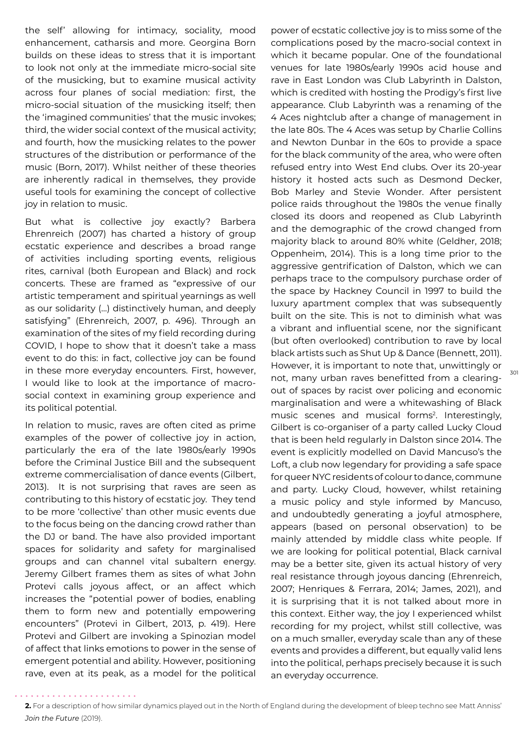the self' allowing for intimacy, sociality, mood enhancement, catharsis and more. Georgina Born builds on these ideas to stress that it is important to look not only at the immediate micro-social site of the musicking, but to examine musical activity across four planes of social mediation: first, the micro-social situation of the musicking itself; then the 'imagined communities' that the music invokes; third, the wider social context of the musical activity; and fourth, how the musicking relates to the power structures of the distribution or performance of the music (Born, 2017). Whilst neither of these theories are inherently radical in themselves, they provide useful tools for examining the concept of collective joy in relation to music.

But what is collective joy exactly? Barbera Ehrenreich (2007) has charted a history of group ecstatic experience and describes a broad range of activities including sporting events, religious rites, carnival (both European and Black) and rock concerts. These are framed as "expressive of our artistic temperament and spiritual yearnings as well as our solidarity (…) distinctively human, and deeply satisfying" (Ehrenreich, 2007, p. 496). Through an examination of the sites of my field recording during COVID, I hope to show that it doesn't take a mass event to do this: in fact, collective joy can be found in these more everyday encounters. First, however, I would like to look at the importance of macrosocial context in examining group experience and its political potential.

In relation to music, raves are often cited as prime examples of the power of collective joy in action, particularly the era of the late 1980s/early 1990s before the Criminal Justice Bill and the subsequent extreme commercialisation of dance events (Gilbert, 2013). It is not surprising that raves are seen as contributing to this history of ecstatic joy. They tend to be more 'collective' than other music events due to the focus being on the dancing crowd rather than the DJ or band. The have also provided important spaces for solidarity and safety for marginalised groups and can channel vital subaltern energy. Jeremy Gilbert frames them as sites of what John Protevi calls joyous affect, or an affect which increases the "potential power of bodies, enabling them to form new and potentially empowering encounters" (Protevi in Gilbert, 2013, p. 419). Here Protevi and Gilbert are invoking a Spinozian model of affect that links emotions to power in the sense of emergent potential and ability. However, positioning rave, even at its peak, as a model for the political power of ecstatic collective joy is to miss some of the complications posed by the macro-social context in which it became popular. One of the foundational venues for late 1980s/early 1990s acid house and rave in East London was Club Labyrinth in Dalston, which is credited with hosting the Prodigy's first live appearance. Club Labyrinth was a renaming of the 4 Aces nightclub after a change of management in the late 80s. The 4 Aces was setup by Charlie Collins and Newton Dunbar in the 60s to provide a space for the black community of the area, who were often refused entry into West End clubs. Over its 20-year history it hosted acts such as Desmond Decker, Bob Marley and Stevie Wonder. After persistent police raids throughout the 1980s the venue finally closed its doors and reopened as Club Labyrinth and the demographic of the crowd changed from majority black to around 80% white (Geldher, 2018; Oppenheim, 2014). This is a long time prior to the aggressive gentrification of Dalston, which we can perhaps trace to the compulsory purchase order of the space by Hackney Council in 1997 to build the luxury apartment complex that was subsequently built on the site. This is not to diminish what was a vibrant and influential scene, nor the significant (but often overlooked) contribution to rave by local black artists such as Shut Up & Dance (Bennett, 2011). However, it is important to note that, unwittingly or not, many urban raves benefitted from a clearingout of spaces by racist over policing and economic marginalisation and were a whitewashing of Black music scenes and musical forms<sup>2</sup>. Interestingly, Gilbert is co-organiser of a party called Lucky Cloud that is been held regularly in Dalston since 2014. The event is explicitly modelled on David Mancuso's the Loft, a club now legendary for providing a safe space for queer NYC residents of colour to dance, commune and party. Lucky Cloud, however, whilst retaining a music policy and style informed by Mancuso, and undoubtedly generating a joyful atmosphere, appears (based on personal observation) to be mainly attended by middle class white people. If we are looking for political potential, Black carnival may be a better site, given its actual history of very real resistance through joyous dancing (Ehrenreich, 2007; Henriques & Ferrara, 2014; James, 2021), and it is surprising that it is not talked about more in this context. Either way, the joy I experienced whilst recording for my project, whilst still collective, was on a much smaller, everyday scale than any of these events and provides a different, but equally valid lens into the political, perhaps precisely because it is such an everyday occurrence.

 $301$ 

**<sup>2.</sup>** For a description of how similar dynamics played out in the North of England during the development of bleep techno see Matt Anniss' *Join the Future* (2019).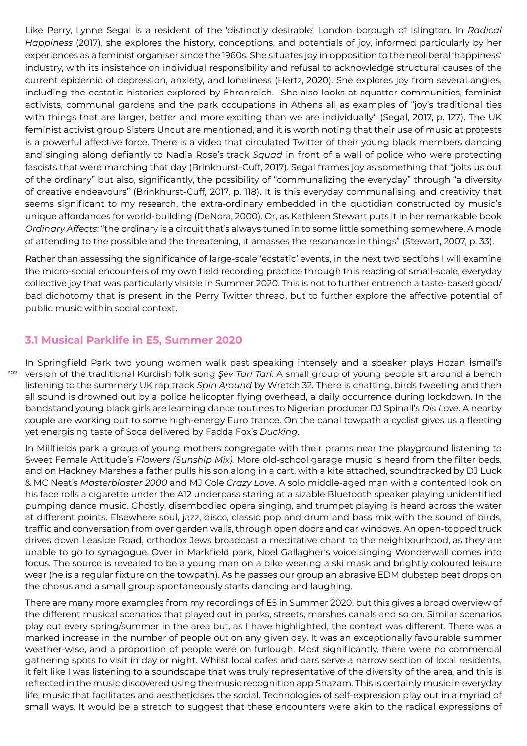Like Perry, Lynne Segal is a resident of the 'distinctly desirable' London borough of Islington. In *Radical Happiness* (2017), she explores the history, conceptions, and potentials of joy, informed particularly by her experiences as a feminist organiser since the 1960s. She situates joy in opposition to the neoliberal 'happiness' industry, with its insistence on individual responsibility and refusal to acknowledge structural causes of the current epidemic of depression, anxiety, and loneliness (Hertz, 2020). She explores joy from several angles, including the ecstatic histories explored by Ehrenreich. She also looks at squatter communities, feminist activists, communal gardens and the park occupations in Athens all as examples of "joy's traditional ties with things that are larger, better and more exciting than we are individually" (Segal, 2017, p. 127). The UK feminist activist group Sisters Uncut are mentioned, and it is worth noting that their use of music at protests is a powerful affective force. There is a video that circulated Twitter of their young black members dancing and singing along defiantly to Nadia Rose's track *Squad* in front of a wall of police who were protecting fascists that were marching that day (Brinkhurst-Cuff, 2017). Segal frames joy as something that "jolts us out of the ordinary" but also, significantly, the possibility of "communalizing the everyday" through "a diversity of creative endeavours" (Brinkhurst-Cuff, 2017, p. 118). It is this everyday communalising and creativity that seems significant to my research, the extra-ordinary embedded in the quotidian constructed by music's unique affordances for world-building (DeNora, 2000). Or, as Kathleen Stewart puts it in her remarkable book *Ordinary Affects*: "the ordinary is a circuit that's always tuned in to some little something somewhere. A mode of attending to the possible and the threatening, it amasses the resonance in things" (Stewart, 2007, p. 33).

Rather than assessing the significance of large-scale 'ecstatic' events, in the next two sections I will examine the micro-social encounters of my own field recording practice through this reading of small-scale, everyday collective joy that was particularly visible in Summer 2020. This is not to further entrench a taste-based good/ bad dichotomy that is present in the Perry Twitter thread, but to further explore the affective potential of public music within social context.

#### **3.1 Musical Parklife in E5, Summer 2020**

<sup>302</sup> version of the traditional Kurdish folk song *Şev Tari Tari*. A small group of young people sit around a bench In Springfield Park two young women walk past speaking intensely and a speaker plays Hozan İsmail's listening to the summery UK rap track *Spin Around* by Wretch 32*.* There is chatting, birds tweeting and then all sound is drowned out by a police helicopter flying overhead, a daily occurrence during lockdown. In the bandstand young black girls are learning dance routines to Nigerian producer DJ Spinall's *Dis Love*. A nearby couple are working out to some high-energy Euro trance. On the canal towpath a cyclist gives us a fleeting yet energising taste of Soca delivered by Fadda Fox's *Ducking*.

In Millfields park a group of young mothers congregate with their prams near the playground listening to Sweet Female Attitude's *Flowers (Sunship Mix).* More old-school garage music is heard from the filter beds, and on Hackney Marshes a father pulls his son along in a cart, with a kite attached, soundtracked by DJ Luck & MC Neat's *Masterblaster 2000* and MJ Cole *Crazy Love*. A solo middle-aged man with a contented look on his face rolls a cigarette under the A12 underpass staring at a sizable Bluetooth speaker playing unidentified pumping dance music. Ghostly, disembodied opera singing, and trumpet playing is heard across the water at different points. Elsewhere soul, jazz, disco, classic pop and drum and bass mix with the sound of birds, traffic and conversation from over garden walls, through open doors and car windows. An open-topped truck drives down Leaside Road, orthodox Jews broadcast a meditative chant to the neighbourhood, as they are unable to go to synagogue. Over in Markfield park, Noel Gallagher's voice singing Wonderwall comes into focus. The source is revealed to be a young man on a bike wearing a ski mask and brightly coloured leisure wear (he is a regular fixture on the towpath). As he passes our group an abrasive EDM dubstep beat drops on the chorus and a small group spontaneously starts dancing and laughing.

There are many more examples from my recordings of E5 in Summer 2020, but this gives a broad overview of the different musical scenarios that played out in parks, streets, marshes canals and so on. Similar scenarios play out every spring/summer in the area but, as I have highlighted, the context was different. There was a marked increase in the number of people out on any given day. It was an exceptionally favourable summer weather-wise, and a proportion of people were on furlough. Most significantly, there were no commercial gathering spots to visit in day or night. Whilst local cafes and bars serve a narrow section of local residents, it felt like I was listening to a soundscape that was truly representative of the diversity of the area, and this is reflected in the music discovered using the music recognition app Shazam. This is certainly music in everyday life, music that facilitates and aestheticises the social. Technologies of self-expression play out in a myriad of small ways. It would be a stretch to suggest that these encounters were akin to the radical expressions of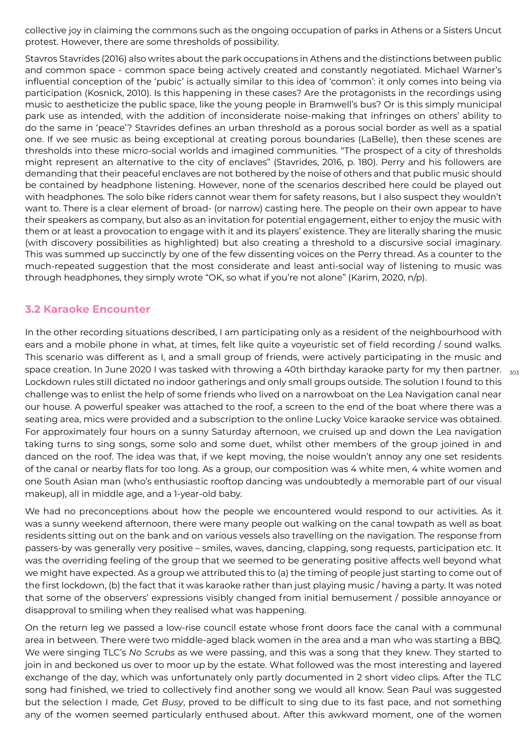collective joy in claiming the commons such as the ongoing occupation of parks in Athens or a Sisters Uncut protest. However, there are some thresholds of possibility.

Stavros Stavrides (2016) also writes about the park occupations in Athens and the distinctions between public and common space - common space being actively created and constantly negotiated. Michael Warner's influential conception of the 'pubic' is actually similar to this idea of 'common': it only comes into being via participation (Kosnick, 2010). Is this happening in these cases? Are the protagonists in the recordings using music to aestheticize the public space, like the young people in Bramwell's bus? Or is this simply municipal park use as intended, with the addition of inconsiderate noise-making that infringes on others' ability to do the same in 'peace'? Stavrides defines an urban threshold as a porous social border as well as a spatial one. If we see music as being exceptional at creating porous boundaries (LaBelle), then these scenes are thresholds into these micro-social worlds and imagined communities. "The prospect of a city of thresholds might represent an alternative to the city of enclaves" (Stavrides, 2016, p. 180). Perry and his followers are demanding that their peaceful enclaves are not bothered by the noise of others and that public music should be contained by headphone listening. However, none of the scenarios described here could be played out with headphones. The solo bike riders cannot wear them for safety reasons, but I also suspect they wouldn't want to. There is a clear element of broad- (or narrow) casting here. The people on their own appear to have their speakers as company, but also as an invitation for potential engagement, either to enjoy the music with them or at least a provocation to engage with it and its players' existence. They are literally sharing the music (with discovery possibilities as highlighted) but also creating a threshold to a discursive social imaginary. This was summed up succinctly by one of the few dissenting voices on the Perry thread. As a counter to the much-repeated suggestion that the most considerate and least anti-social way of listening to music was through headphones, they simply wrote "OK, so what if you're not alone" (Karim, 2020, n/p).

#### **3.2 Karaoke Encounter**

space creation. In June 2020 I was tasked with throwing a 40th birthday karaoke party for my then partner.  $\,$   $_{303}$ In the other recording situations described, I am participating only as a resident of the neighbourhood with ears and a mobile phone in what, at times, felt like quite a voyeuristic set of field recording / sound walks. This scenario was different as I, and a small group of friends, were actively participating in the music and Lockdown rules still dictated no indoor gatherings and only small groups outside. The solution I found to this challenge was to enlist the help of some friends who lived on a narrowboat on the Lea Navigation canal near our house. A powerful speaker was attached to the roof, a screen to the end of the boat where there was a seating area, mics were provided and a subscription to the online Lucky Voice karaoke service was obtained. For approximately four hours on a sunny Saturday afternoon, we cruised up and down the Lea navigation taking turns to sing songs, some solo and some duet, whilst other members of the group joined in and danced on the roof. The idea was that, if we kept moving, the noise wouldn't annoy any one set residents of the canal or nearby flats for too long. As a group, our composition was 4 white men, 4 white women and one South Asian man (who's enthusiastic rooftop dancing was undoubtedly a memorable part of our visual makeup), all in middle age, and a 1-year-old baby.

We had no preconceptions about how the people we encountered would respond to our activities. As it was a sunny weekend afternoon, there were many people out walking on the canal towpath as well as boat residents sitting out on the bank and on various vessels also travelling on the navigation. The response from passers-by was generally very positive – smiles, waves, dancing, clapping, song requests, participation etc. It was the overriding feeling of the group that we seemed to be generating positive affects well beyond what we might have expected. As a group we attributed this to (a) the timing of people just starting to come out of the first lockdown, (b) the fact that it was karaoke rather than just playing music / having a party. It was noted that some of the observers' expressions visibly changed from initial bemusement / possible annoyance or disapproval to smiling when they realised what was happening.

On the return leg we passed a low-rise council estate whose front doors face the canal with a communal area in between. There were two middle-aged black women in the area and a man who was starting a BBQ. We were singing TLC's *No Scrubs* as we were passing, and this was a song that they knew. They started to join in and beckoned us over to moor up by the estate. What followed was the most interesting and layered exchange of the day, which was unfortunately only partly documented in 2 short video clips. After the TLC song had finished, we tried to collectively find another song we would all know. Sean Paul was suggested but the selection I made*, G*et *Busy*, proved to be difficult to sing due to its fast pace, and not something any of the women seemed particularly enthused about. After this awkward moment, one of the women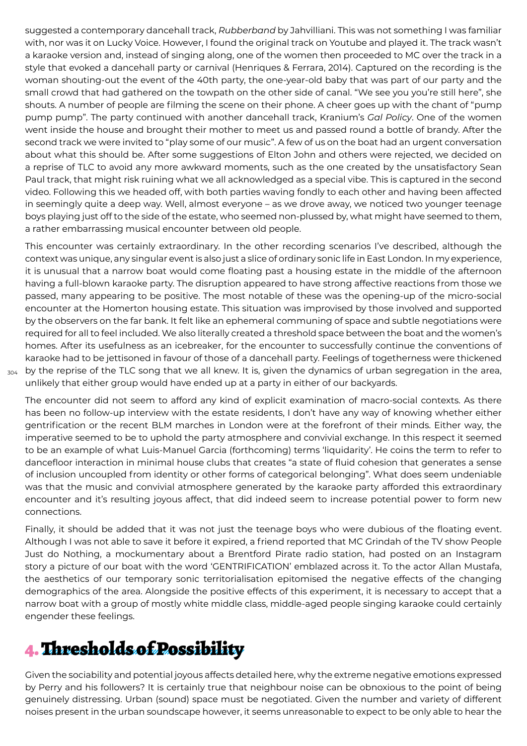suggested a contemporary dancehall track, *Rubberband* by Jahvilliani. This was not something I was familiar with, nor was it on Lucky Voice. However, I found the original track on Youtube and played it. The track wasn't a karaoke version and, instead of singing along, one of the women then proceeded to MC over the track in a style that evoked a dancehall party or carnival (Henriques & Ferrara, 2014). Captured on the recording is the woman shouting-out the event of the 40th party, the one-year-old baby that was part of our party and the small crowd that had gathered on the towpath on the other side of canal. "We see you you're still here", she shouts. A number of people are filming the scene on their phone. A cheer goes up with the chant of "pump pump pump". The party continued with another dancehall track, Kranium's *Gal Policy*. One of the women went inside the house and brought their mother to meet us and passed round a bottle of brandy. After the second track we were invited to "play some of our music". A few of us on the boat had an urgent conversation about what this should be. After some suggestions of Elton John and others were rejected, we decided on a reprise of TLC to avoid any more awkward moments, such as the one created by the unsatisfactory Sean Paul track, that might risk ruining what we all acknowledged as a special vibe. This is captured in the second video. Following this we headed off, with both parties waving fondly to each other and having been affected in seemingly quite a deep way. Well, almost everyone – as we drove away, we noticed two younger teenage boys playing just off to the side of the estate, who seemed non-plussed by, what might have seemed to them, a rather embarrassing musical encounter between old people.

This encounter was certainly extraordinary. In the other recording scenarios I've described, although the context was unique, any singular event is also just a slice of ordinary sonic life in East London. In my experience, it is unusual that a narrow boat would come floating past a housing estate in the middle of the afternoon having a full-blown karaoke party. The disruption appeared to have strong affective reactions from those we passed, many appearing to be positive. The most notable of these was the opening-up of the micro-social encounter at the Homerton housing estate. This situation was improvised by those involved and supported by the observers on the far bank. It felt like an ephemeral communing of space and subtle negotiations were required for all to feel included. We also literally created a threshold space between the boat and the women's homes. After its usefulness as an icebreaker, for the encounter to successfully continue the conventions of karaoke had to be jettisoned in favour of those of a dancehall party. Feelings of togetherness were thickened by the reprise of the TLC song that we all knew. It is, given the dynamics of urban segregation in the area, unlikely that either group would have ended up at a party in either of our backyards.

304

The encounter did not seem to afford any kind of explicit examination of macro-social contexts. As there has been no follow-up interview with the estate residents, I don't have any way of knowing whether either gentrification or the recent BLM marches in London were at the forefront of their minds. Either way, the imperative seemed to be to uphold the party atmosphere and convivial exchange. In this respect it seemed to be an example of what Luis-Manuel Garcia (forthcoming) terms 'liquidarity'. He coins the term to refer to dancefloor interaction in minimal house clubs that creates "a state of fluid cohesion that generates a sense of inclusion uncoupled from identity or other forms of categorical belonging". What does seem undeniable was that the music and convivial atmosphere generated by the karaoke party afforded this extraordinary encounter and it's resulting joyous affect, that did indeed seem to increase potential power to form new connections.

Finally, it should be added that it was not just the teenage boys who were dubious of the floating event. Although I was not able to save it before it expired, a friend reported that MC Grindah of the TV show People Just do Nothing, a mockumentary about a Brentford Pirate radio station, had posted on an Instagram story a picture of our boat with the word 'GENTRIFICATION' emblazed across it. To the actor Allan Mustafa, the aesthetics of our temporary sonic territorialisation epitomised the negative effects of the changing demographics of the area. Alongside the positive effects of this experiment, it is necessary to accept that a narrow boat with a group of mostly white middle class, middle-aged people singing karaoke could certainly engender these feelings.

# 4. Thresholds of Possibility

Given the sociability and potential joyous affects detailed here, why the extreme negative emotions expressed by Perry and his followers? It is certainly true that neighbour noise can be obnoxious to the point of being genuinely distressing. Urban (sound) space must be negotiated. Given the number and variety of different noises present in the urban soundscape however, it seems unreasonable to expect to be only able to hear the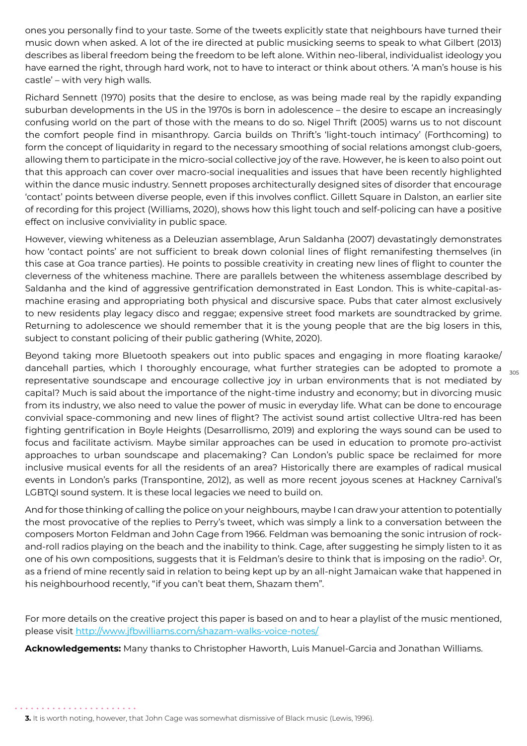ones you personally find to your taste. Some of the tweets explicitly state that neighbours have turned their music down when asked. A lot of the ire directed at public musicking seems to speak to what Gilbert (2013) describes as liberal freedom being the freedom to be left alone. Within neo-liberal, individualist ideology you have earned the right, through hard work, not to have to interact or think about others. 'A man's house is his castle' – with very high walls.

Richard Sennett (1970) posits that the desire to enclose, as was being made real by the rapidly expanding suburban developments in the US in the 1970s is born in adolescence – the desire to escape an increasingly confusing world on the part of those with the means to do so. Nigel Thrift (2005) warns us to not discount the comfort people find in misanthropy. Garcia builds on Thrift's 'light-touch intimacy' (Forthcoming) to form the concept of liquidarity in regard to the necessary smoothing of social relations amongst club-goers, allowing them to participate in the micro-social collective joy of the rave. However, he is keen to also point out that this approach can cover over macro-social inequalities and issues that have been recently highlighted within the dance music industry. Sennett proposes architecturally designed sites of disorder that encourage 'contact' points between diverse people, even if this involves conflict. Gillett Square in Dalston, an earlier site of recording for this project (Williams, 2020), shows how this light touch and self-policing can have a positive effect on inclusive conviviality in public space.

However, viewing whiteness as a Deleuzian assemblage, Arun Saldanha (2007) devastatingly demonstrates how 'contact points' are not sufficient to break down colonial lines of flight remanifesting themselves (in this case at Goa trance parties). He points to possible creativity in creating new lines of flight to counter the cleverness of the whiteness machine. There are parallels between the whiteness assemblage described by Saldanha and the kind of aggressive gentrification demonstrated in East London. This is white-capital-asmachine erasing and appropriating both physical and discursive space. Pubs that cater almost exclusively to new residents play legacy disco and reggae; expensive street food markets are soundtracked by grime. Returning to adolescence we should remember that it is the young people that are the big losers in this, subject to constant policing of their public gathering (White, 2020).

dancehall parties, which I thoroughly encourage, what further strategies can be adopted to promote a  $_{\rm 305}$ Beyond taking more Bluetooth speakers out into public spaces and engaging in more floating karaoke/ representative soundscape and encourage collective joy in urban environments that is not mediated by capital? Much is said about the importance of the night-time industry and economy; but in divorcing music from its industry, we also need to value the power of music in everyday life. What can be done to encourage convivial space-commoning and new lines of flight? The activist sound artist collective Ultra-red has been fighting gentrification in Boyle Heights (Desarrollismo, 2019) and exploring the ways sound can be used to focus and facilitate activism. Maybe similar approaches can be used in education to promote pro-activist approaches to urban soundscape and placemaking? Can London's public space be reclaimed for more inclusive musical events for all the residents of an area? Historically there are examples of radical musical events in London's parks (Transpontine, 2012), as well as more recent joyous scenes at Hackney Carnival's LGBTQI sound system. It is these local legacies we need to build on.

And for those thinking of calling the police on your neighbours, maybe I can draw your attention to potentially the most provocative of the replies to Perry's tweet, which was simply a link to a conversation between the composers Morton Feldman and John Cage from 1966. Feldman was bemoaning the sonic intrusion of rockand-roll radios playing on the beach and the inability to think. Cage, after suggesting he simply listen to it as one of his own compositions, suggests that it is Feldman's desire to think that is imposing on the radio<sup>3</sup>. Or, as a friend of mine recently said in relation to being kept up by an all-night Jamaican wake that happened in his neighbourhood recently, "if you can't beat them, Shazam them".

For more details on the creative project this paper is based on and to hear a playlist of the music mentioned, please visit http://www.jfbwilliams.com/shazam-walks-voice-notes/

**Acknowledgements:** Many thanks to Christopher Haworth, Luis Manuel-Garcia and Jonathan Williams.

**<sup>3.</sup>** It is worth noting, however, that John Cage was somewhat dismissive of Black music (Lewis, 1996).